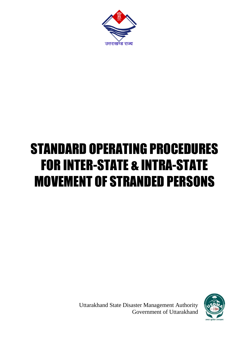

# STANDARD OPERATING PROCEDURES FOR INTER-STATE & INTRA-STATE MOVEMENT OF STRANDED PERSONS



Uttarakhand State Disaster Management Authority Government of Uttarakhand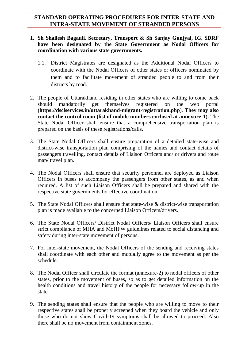# **STANDARD OPERATING PROCEDURES FOR INTER-STATE AND INTRA-STATE MOVEMENT OF STRANDED PERSONS**

- **1. Sh Shailesh Bagauli, Secretary, Transport & Sh Sanjay Gunjyal, IG, SDRF have been designated by the State Government as Nodal Officers for coordination with various state governments.**
	- 1.1. District Magistrates are designated as the Additional Nodal Officers to coordinate with the Nodal Officers of other states or officers nominated by them and to facilitate movement of stranded people to and from their districts by road.
- 2. The people of Uttarakhand residing in other states who are willing to come back should mandatorily get themselves registered on the web portal **[\(https://dsclservices.in/uttarakhand-migrant-registration.php](https://dsclservices.in/uttarakhand-migrant-registration.php)**). **They may also contact the control room (list of mobile numbers enclosed at annexure-1).** The State Nodal Officer shall ensure that a comprehensive transportation plan is prepared on the basis of these registrations/calls.
- 3. The State Nodal Officers shall ensure preparation of a detailed state-wise and district-wise transportation plan comprising of the names and contact details of passengers travelling, contact details of Liaison Officers and/ or drivers and route map/ travel plan.
- 4. The Nodal Officers shall ensure that security personnel are deployed as Liaison Officers in buses to accompany the passengers from other states, as and when required. A list of such Liaison Officers shall be prepared and shared with the respective state governments for effective coordination.
- 5. The State Nodal Officers shall ensure that state-wise & district-wise transportation plan is made available to the concerned Liaison Officers/drivers.
- 6. The State Nodal Officers/ District Nodal Officers/ Liaison Officers shall ensure strict compliance of MHA and MoHFW guidelines related to social distancing and safety during inter-state movement of persons.
- 7. For inter-state movement, the Nodal Officers of the sending and receiving states shall coordinate with each other and mutually agree to the movement as per the schedule.
- 8. The Nodal Officer shall circulate the format (annexure-2) to nodal officers of other states, prior to the movement of buses, so as to get detailed information on the health conditions and travel history of the people for necessary follow-up in the state.
- 9. The sending states shall ensure that the people who are willing to move to their respective states shall be properly screened when they board the vehicle and only those who do not show Covid-19 symptoms shall be allowed to proceed. Also there shall be no movement from containment zones.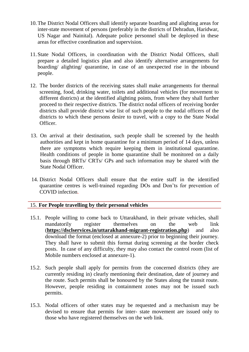- 10.The District Nodal Officers shall identify separate boarding and alighting areas for inter-state movement of persons (preferably in the districts of Dehradun, Haridwar, US Nagar and Nainital). Adequate police personnel shall be deployed in these areas for effective coordination and supervision.
- 11.State Nodal Officers, in coordination with the District Nodal Officers, shall prepare a detailed logistics plan and also identify alternative arrangements for boarding/ alighting/ quarantine, in case of an unexpected rise in the inbound people.
- 12. The border districts of the receiving states shall make arrangements for thermal screening, food, drinking water, toilets and additional vehicles (for movement to different districts) at the identified alighting points, from where they shall further proceed to their respective districts. The district nodal officers of receiving border districts shall provide district wise list of such people to the nodal officers of the districts to which these persons desire to travel, with a copy to the State Nodal Officer.
- 13. On arrival at their destination, such people shall be screened by the health authorities and kept in home quarantine for a minimum period of 14 days, unless there are symptoms which require keeping them in institutional quarantine. Health conditions of people in home quarantine shall be monitored on a daily basis through BRTs/ CRTs/ GPs and such information may be shared with the State Nodal Officer.
- 14. District Nodal Officers shall ensure that the entire staff in the identified quarantine centres is well-trained regarding DOs and Don'ts for prevention of COVID infection.

# 15. **For People travelling by their personal vehicles**

- 15.1. People willing to come back to Uttarakhand, in their private vehicles, shall mandatorily register themselves on the web link (**<https://dsclservices.in/uttarakhand-migrant-registration.php>**) and also download the format (enclosed at annexure-2) prior to beginning their journey. They shall have to submit this format during screening at the border check posts. In case of any difficulty, they may also contact the control room (list of Mobile numbers enclosed at annexure-1).
- 15.2. Such people shall apply for permits from the concerned districts (they are currently residing in) clearly mentioning their destination, date of journey and the route. Such permits shall be honoured by the States along the transit route. However, people residing in containment zones may not be issued such permits.
- 15.3. Nodal officers of other states may be requested and a mechanism may be devised to ensure that permits for inter- state movement are issued only to those who have registered themselves on the web link.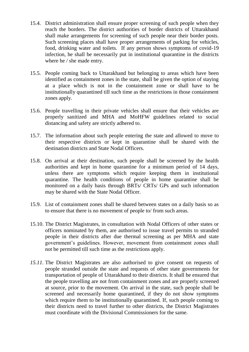- 15.4. District administration shall ensure proper screening of such people when they reach the borders. The district authorities of border districts of Uttarakhand shall make arrangements for screening of such people near their border posts. Such screening places shall have proper arrangements of parking for vehicles, food, drinking water and toilets. If any person shows symptoms of covid-19 infection, he shall be necessarily put in institutional quarantine in the districts where he / she made entry.
- 15.5. People coming back to Uttarakhand but belonging to areas which have been identified as containment zones in the state, shall be given the option of staying at a place which is not in the containment zone or shall have to be institutionally quarantined till such time as the restrictions in those containment zones apply.
- 15.6. People travelling in their private vehicles shall ensure that their vehicles are properly sanitized and MHA and MoHFW guidelines related to social distancing and safety are strictly adhered to.
- 15.7. The information about such people entering the state and allowed to move to their respective districts or kept in quarantine shall be shared with the destination districts and State Nodal Officers.
- 15.8. On arrival at their destination, such people shall be screened by the health authorities and kept in home quarantine for a minimum period of 14 days, unless there are symptoms which require keeping them in institutional quarantine. The health conditions of people in home quarantine shall be monitored on a daily basis through BRTs/ CRTs/ GPs and such information may be shared with the State Nodal Officer.
- 15.9. List of containment zones shall be shared between states on a daily basis so as to ensure that there is no movement of people to/ from such areas.
- 15.10. The District Magistrates, in consultation with Nodal Officers of other states or officers nominated by them, are authorised to issue travel permits to stranded people in their districts after due thermal screening as per MHA and state government's guidelines. However, movement from containment zones shall not be permitted till such time as the restrictions apply.
- *15.11.* The District Magistrates are also authorised to give consent on requests of people stranded outside the state and requests of other state governments for transportation of people of Uttarakhand to their districts. It shall be ensured that the people travelling are not from containment zones and are properly screened at source, prior to the movement. On arrival in the state, such people shall be screened and necessarily home quarantined, if they do not show symptoms which require them to be institutionally quarantined. If, such people coming to their districts need to travel further to other districts, the District Magistrates must coordinate with the Divisional Commissioners for the same.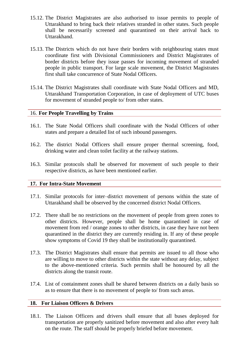- 15.12. The District Magistrates are also authorised to issue permits to people of Uttarakhand to bring back their relatives stranded in other states. Such people shall be necessarily screened and quarantined on their arrival back to Uttarakhand.
- 15.13. The Districts which do not have their borders with neighbouring states must coordinate first with Divisional Commissioners and District Magistrates of border districts before they issue passes for incoming movement of stranded people in public transport. For large scale movement, the District Magistrates first shall take concurrence of State Nodal Officers.
- 15.14. The District Magistrates shall coordinate with State Nodal Officers and MD, Uttarakhand Transportation Corporation, in case of deployment of UTC buses for movement of stranded people to/ from other states.

## 16. **For People Travelling by Trains**

- 16.1. The State Nodal Officers shall coordinate with the Nodal Officers of other states and prepare a detailed list of such inbound passengers.
- 16.2. The district Nodal Officers shall ensure proper thermal screening, food, drinking water and clean toilet facility at the railway stations.
- 16.3. Similar protocols shall be observed for movement of such people to their respective districts, as have been mentioned earlier.

#### **17. For Intra-State Movement**

- 17.1. Similar protocols for inter–district movement of persons within the state of Uttarakhand shall be observed by the concerned district Nodal Officers.
- 17.2. There shall be no restrictions on the movement of people from green zones to other districts. However, people shall be home quarantined in case of movement from red / orange zones to other districts, in case they have not been quarantined in the district they are currently residing in. If any of these people show symptoms of Covid 19 they shall be institutionally quarantined.
- 17.3. The District Magistrates shall ensure that permits are issued to all those who are willing to move to other districts within the state without any delay, subject to the above-mentioned criteria. Such permits shall be honoured by all the districts along the transit route.
- 17.4. List of containment zones shall be shared between districts on a daily basis so as to ensure that there is no movement of people to/ from such areas.

#### **18. For Liaison Officers & Drivers**

18.1. The Liaison Officers and drivers shall ensure that all buses deployed for transportation are properly sanitized before movement and also after every halt on the route. The staff should be properly briefed before movement.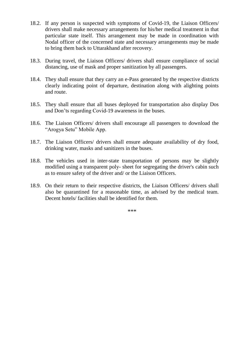- 18.2. If any person is suspected with symptoms of Covid-19, the Liaison Officers/ drivers shall make necessary arrangements for his/her medical treatment in that particular state itself. This arrangement may be made in coordination with Nodal officer of the concerned state and necessary arrangements may be made to bring them back to Uttarakhand after recovery.
- 18.3. During travel, the Liaison Officers/ drivers shall ensure compliance of social distancing, use of mask and proper sanitization by all passengers.
- 18.4. They shall ensure that they carry an e-Pass generated by the respective districts clearly indicating point of departure, destination along with alighting points and route.
- 18.5. They shall ensure that all buses deployed for transportation also display Dos and Don'ts regarding Covid-19 awareness in the buses.
- 18.6. The Liaison Officers/ drivers shall encourage all passengers to download the "Arogya Setu" Mobile App.
- 18.7. The Liaison Officers/ drivers shall ensure adequate availability of dry food, drinking water, masks and sanitizers in the buses.
- 18.8. The vehicles used in inter-state transportation of persons may be slightly modified using a transparent poly- sheet for segregating the driver's cabin such as to ensure safety of the driver and/ or the Liaison Officers.
- 18.9. On their return to their respective districts, the Liaison Officers/ drivers shall also be quarantined for a reasonable time, as advised by the medical team. Decent hotels/ facilities shall be identified for them.

\*\*\*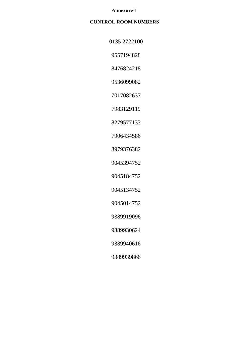#### **Annexure-1**

# **CONTROL ROOM NUMBERS**

| 0135 2722100 |
|--------------|
|              |